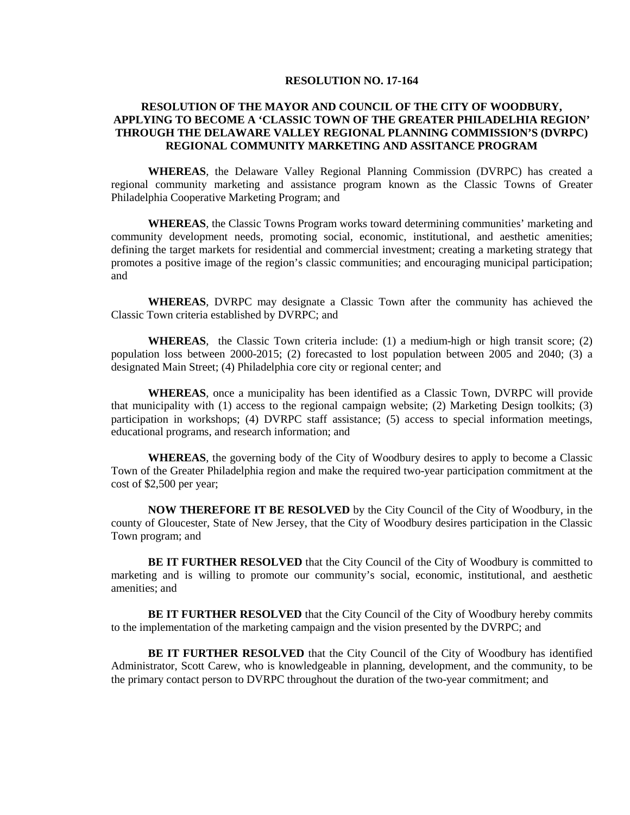## **RESOLUTION NO. 17-164**

## **RESOLUTION OF THE MAYOR AND COUNCIL OF THE CITY OF WOODBURY, APPLYING TO BECOME A 'CLASSIC TOWN OF THE GREATER PHILADELHIA REGION' THROUGH THE DELAWARE VALLEY REGIONAL PLANNING COMMISSION'S (DVRPC) REGIONAL COMMUNITY MARKETING AND ASSITANCE PROGRAM**

**WHEREAS**, the Delaware Valley Regional Planning Commission (DVRPC) has created a regional community marketing and assistance program known as the Classic Towns of Greater Philadelphia Cooperative Marketing Program; and

**WHEREAS**, the Classic Towns Program works toward determining communities' marketing and community development needs, promoting social, economic, institutional, and aesthetic amenities; defining the target markets for residential and commercial investment; creating a marketing strategy that promotes a positive image of the region's classic communities; and encouraging municipal participation; and

**WHEREAS**, DVRPC may designate a Classic Town after the community has achieved the Classic Town criteria established by DVRPC; and

**WHEREAS**, the Classic Town criteria include: (1) a medium-high or high transit score; (2) population loss between 2000-2015; (2) forecasted to lost population between 2005 and 2040; (3) a designated Main Street; (4) Philadelphia core city or regional center; and

**WHEREAS**, once a municipality has been identified as a Classic Town, DVRPC will provide that municipality with (1) access to the regional campaign website; (2) Marketing Design toolkits; (3) participation in workshops; (4) DVRPC staff assistance; (5) access to special information meetings, educational programs, and research information; and

**WHEREAS**, the governing body of the City of Woodbury desires to apply to become a Classic Town of the Greater Philadelphia region and make the required two-year participation commitment at the cost of \$2,500 per year;

**NOW THEREFORE IT BE RESOLVED** by the City Council of the City of Woodbury, in the county of Gloucester, State of New Jersey, that the City of Woodbury desires participation in the Classic Town program; and

**BE IT FURTHER RESOLVED** that the City Council of the City of Woodbury is committed to marketing and is willing to promote our community's social, economic, institutional, and aesthetic amenities; and

**BE IT FURTHER RESOLVED** that the City Council of the City of Woodbury hereby commits to the implementation of the marketing campaign and the vision presented by the DVRPC; and

**BE IT FURTHER RESOLVED** that the City Council of the City of Woodbury has identified Administrator, Scott Carew, who is knowledgeable in planning, development, and the community, to be the primary contact person to DVRPC throughout the duration of the two-year commitment; and